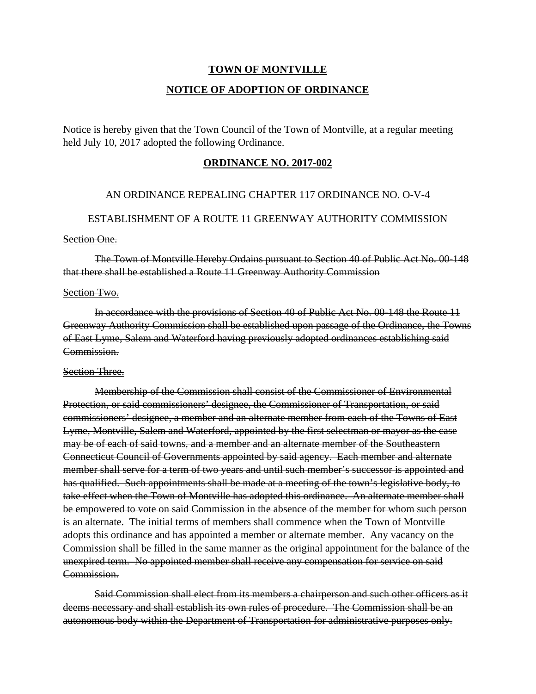# **TOWN OF MONTVILLE**

# **NOTICE OF ADOPTION OF ORDINANCE**

Notice is hereby given that the Town Council of the Town of Montville, at a regular meeting held July 10, 2017 adopted the following Ordinance.

# **ORDINANCE NO. 2017-002**

# AN ORDINANCE REPEALING CHAPTER 117 ORDINANCE NO. O-V-4

# ESTABLISHMENT OF A ROUTE 11 GREENWAY AUTHORITY COMMISSION

# **Section One.**

 The Town of Montville Hereby Ordains pursuant to Section 40 of Public Act No. 00-148 that there shall be established a Route 11 Greenway Authority Commission

#### Section Two.

 In accordance with the provisions of Section 40 of Public Act No. 00-148 the Route 11 Greenway Authority Commission shall be established upon passage of the Ordinance, the Towns of East Lyme, Salem and Waterford having previously adopted ordinances establishing said Commission.

# Section Three.

 Membership of the Commission shall consist of the Commissioner of Environmental Protection, or said commissioners' designee, the Commissioner of Transportation, or said commissioners' designee, a member and an alternate member from each of the Towns of East Lyme, Montville, Salem and Waterford, appointed by the first selectman or mayor as the case may be of each of said towns, and a member and an alternate member of the Southeastern Connecticut Council of Governments appointed by said agency. Each member and alternate member shall serve for a term of two years and until such member's successor is appointed and has qualified. Such appointments shall be made at a meeting of the town's legislative body, to take effect when the Town of Montville has adopted this ordinance. An alternate member shall be empowered to vote on said Commission in the absence of the member for whom such person is an alternate. The initial terms of members shall commence when the Town of Montville adopts this ordinance and has appointed a member or alternate member. Any vacancy on the Commission shall be filled in the same manner as the original appointment for the balance of the unexpired term. No appointed member shall receive any compensation for service on said Commission.

 Said Commission shall elect from its members a chairperson and such other officers as it deems necessary and shall establish its own rules of procedure. The Commission shall be an autonomous body within the Department of Transportation for administrative purposes only.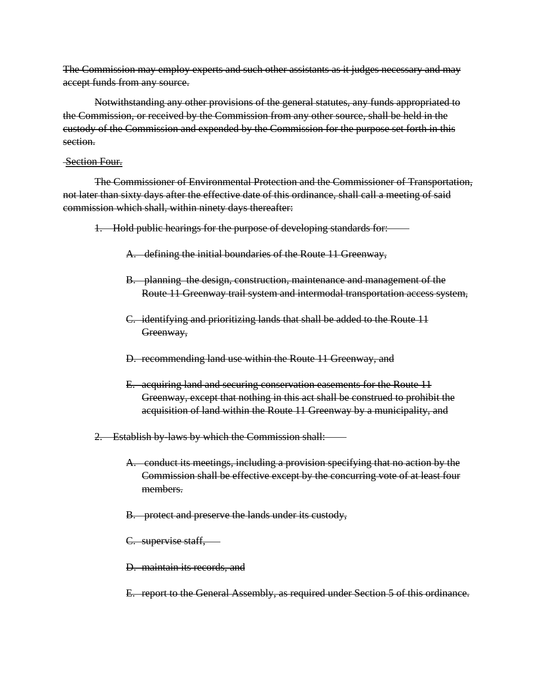The Commission may employ experts and such other assistants as it judges necessary and may accept funds from any source.

 Notwithstanding any other provisions of the general statutes, any funds appropriated to the Commission, or received by the Commission from any other source, shall be held in the custody of the Commission and expended by the Commission for the purpose set forth in this section.

### Section Four.

 The Commissioner of Environmental Protection and the Commissioner of Transportation, not later than sixty days after the effective date of this ordinance, shall call a meeting of said commission which shall, within ninety days thereafter:

1. Hold public hearings for the purpose of developing standards for:

- A. defining the initial boundaries of the Route 11 Greenway,
- B. planning the design, construction, maintenance and management of the Route 11 Greenway trail system and intermodal transportation access system,
- C. identifying and prioritizing lands that shall be added to the Route 11 Greenway,
- D. recommending land use within the Route 11 Greenway, and
- E. acquiring land and securing conservation easements for the Route 11 Greenway, except that nothing in this act shall be construed to prohibit the acquisition of land within the Route 11 Greenway by a municipality, and
- 2. Establish by-laws by which the Commission shall:
	- A. conduct its meetings, including a provision specifying that no action by the Commission shall be effective except by the concurring vote of at least four members.
	- B. protect and preserve the lands under its custody,
	- C. supervise staff,
	- D. maintain its records, and
	- E. report to the General Assembly, as required under Section 5 of this ordinance.